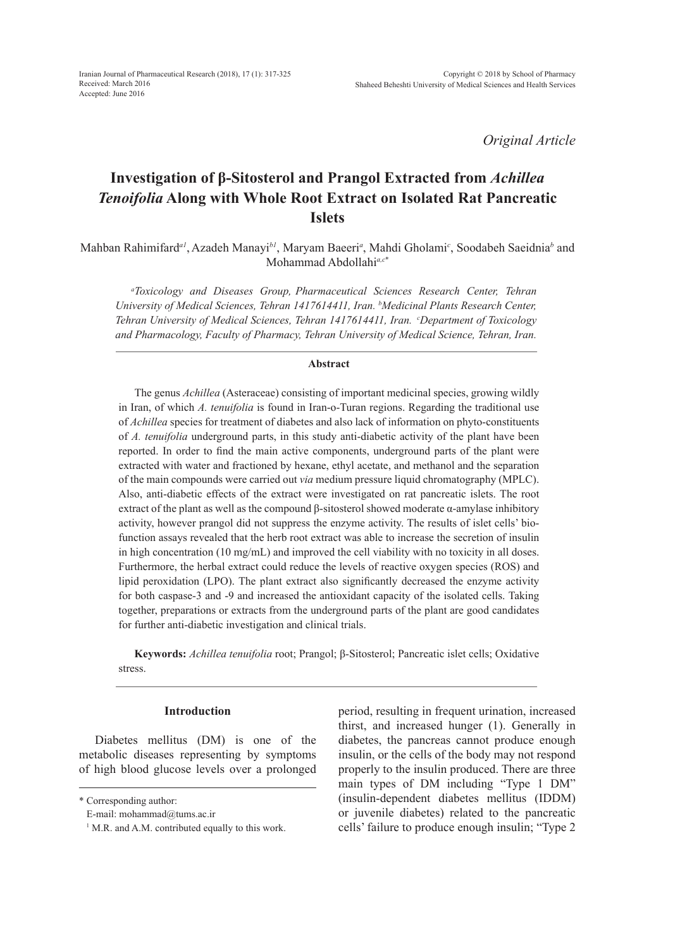Iranian Journal of Pharmaceutical Research (2018), 17 (1): 317-325 Received: March 2016 Accepted: June 2016

*Original Article*

# **Investigation of β-Sitosterol and Prangol Extracted from** *Achillea Tenoifolia* **Along with Whole Root Extract on Isolated Rat Pancreatic Islets**

Mahban Rahimifard*a1*, Azadeh Manayi*b1*, Maryam Baeeri*<sup>a</sup>* , Mahdi Gholami*<sup>c</sup>* , Soodabeh Saeidnia*<sup>b</sup>* and Mohammad Abdollahi*a,c*\*

*a Toxicology and Diseases Group, Pharmaceutical Sciences Research Center, Tehran University of Medical Sciences, Tehran 1417614411, Iran. b Medicinal Plants Research Center, Tehran University of Medical Sciences, Tehran 1417614411, Iran. cDepartment of Toxicology and Pharmacology, Faculty of Pharmacy, Tehran University of Medical Science, Tehran, Iran.*

## **Abstract**

The genus *Achillea* (Asteraceae) consisting of important medicinal species, growing wildly in Iran, of which *A. tenuifolia* is found in Iran-o-Turan regions. Regarding the traditional use of *Achillea* species for treatment of diabetes and also lack of information on phyto-constituents of *A. tenuifolia* underground parts, in this study anti-diabetic activity of the plant have been reported. In order to find the main active components, underground parts of the plant were extracted with water and fractioned by hexane, ethyl acetate, and methanol and the separation of the main compounds were carried out *via* medium pressure liquid chromatography (MPLC). Also, anti-diabetic effects of the extract were investigated on rat pancreatic islets. The root extract of the plant as well as the compound  $\beta$ -sitosterol showed moderate  $\alpha$ -amylase inhibitory activity, however prangol did not suppress the enzyme activity. The results of islet cells' biofunction assays revealed that the herb root extract was able to increase the secretion of insulin in high concentration (10 mg/mL) and improved the cell viability with no toxicity in all doses. Furthermore, the herbal extract could reduce the levels of reactive oxygen species (ROS) and lipid peroxidation (LPO). The plant extract also significantly decreased the enzyme activity for both caspase-3 and -9 and increased the antioxidant capacity of the isolated cells. Taking together, preparations or extracts from the underground parts of the plant are good candidates for further anti-diabetic investigation and clinical trials.

**Keywords:** *Achillea tenuifolia* root; Prangol; β-Sitosterol; Pancreatic islet cells; Oxidative stress.

# **Introduction**

Diabetes mellitus (DM) is one of the metabolic diseases representing by symptoms of high blood glucose levels over a prolonged period, resulting in frequent urination, increased thirst, and increased hunger (1). Generally in diabetes, the pancreas cannot produce enough insulin, or the cells of the body may not respond properly to the insulin produced. There are three main types of DM including "Type 1 DM" (insulin-dependent diabetes mellitus (IDDM) or juvenile diabetes) related to the pancreatic cells' failure to produce enough insulin; "Type 2

<sup>\*</sup> Corresponding author:

E-mail: mohammad@tums.ac.ir

<sup>&</sup>lt;sup>1</sup> M.R. and A.M. contributed equally to this work.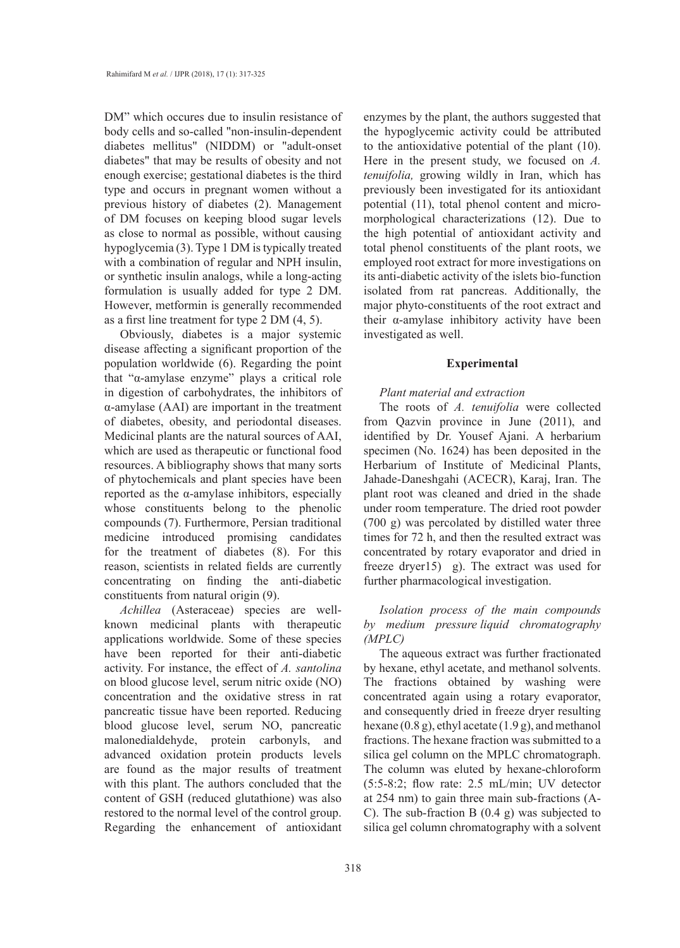DM" which occures due to insulin resistance of body cells and so-called "non-insulin-dependent diabetes mellitus" (NIDDM) or "adult-onset diabetes" that may be results of obesity and not enough exercise; gestational diabetes is the third type and occurs in pregnant women without a previous history of diabetes (2). Management of DM focuses on keeping blood sugar levels as close to normal as possible, without causing hypoglycemia (3). Type 1 DM is typically treated with a combination of regular and NPH insulin, or synthetic insulin analogs, while a long-acting formulation is usually added for type 2 DM. However, metformin is generally recommended as a first line treatment for type 2 DM (4, 5).

Obviously, diabetes is a major systemic disease affecting a significant proportion of the population worldwide (6). Regarding the point that "α-amylase enzyme" plays a critical role in digestion of carbohydrates, the inhibitors of α-amylase (AAI) are important in the treatment of diabetes, obesity, and periodontal diseases. Medicinal plants are the natural sources of AAI, which are used as therapeutic or functional food resources. A bibliography shows that many sorts of phytochemicals and plant species have been reported as the α-amylase inhibitors, especially whose constituents belong to the phenolic compounds (7). Furthermore, Persian traditional medicine introduced promising candidates for the treatment of diabetes (8). For this reason, scientists in related fields are currently concentrating on finding the anti-diabetic constituents from natural origin (9).

*Achillea* (Asteraceae) species are wellknown medicinal plants with therapeutic applications worldwide. Some of these species have been reported for their anti-diabetic activity. For instance, the effect of *A. santolina* on blood glucose level, serum nitric oxide (NO) concentration and the oxidative stress in rat pancreatic tissue have been reported. Reducing blood glucose level, serum NO, pancreatic malonedialdehyde, protein carbonyls, and advanced oxidation protein products levels are found as the major results of treatment with this plant. The authors concluded that the content of GSH (reduced glutathione) was also restored to the normal level of the control group. Regarding the enhancement of antioxidant enzymes by the plant, the authors suggested that the hypoglycemic activity could be attributed to the antioxidative potential of the plant (10). Here in the present study, we focused on *A. tenuifolia,* growing wildly in Iran, which has previously been investigated for its antioxidant potential (11), total phenol content and micromorphological characterizations (12). Due to the high potential of antioxidant activity and total phenol constituents of the plant roots, we employed root extract for more investigations on its anti-diabetic activity of the islets bio-function isolated from rat pancreas. Additionally, the major phyto-constituents of the root extract and their α-amylase inhibitory activity have been investigated as well.

## **Experimental**

# *Plant material and extraction*

The roots of *A. tenuifolia* were collected from Qazvin province in June (2011), and identified by Dr. Yousef Ajani. A herbarium specimen (No. 1624) has been deposited in the Herbarium of Institute of Medicinal Plants, Jahade-Daneshgahi (ACECR), Karaj, Iran. The plant root was cleaned and dried in the shade under room temperature. The dried root powder (700 g) was percolated by distilled water three times for 72 h, and then the resulted extract was concentrated by rotary evaporator and dried in freeze dryer15) g). The extract was used for further pharmacological investigation.

# *Isolation process of the main compounds by medium pressure liquid chromatography (MPLC)*

The aqueous extract was further fractionated by hexane, ethyl acetate, and methanol solvents. The fractions obtained by washing were concentrated again using a rotary evaporator, and consequently dried in freeze dryer resulting hexane (0.8 g), ethyl acetate (1.9 g), and methanol fractions. The hexane fraction was submitted to a silica gel column on the MPLC chromatograph. The column was eluted by hexane-chloroform (5:5-8:2; flow rate: 2.5 mL/min; UV detector at 254 nm) to gain three main sub-fractions (A-C). The sub-fraction B (0.4 g) was subjected to silica gel column chromatography with a solvent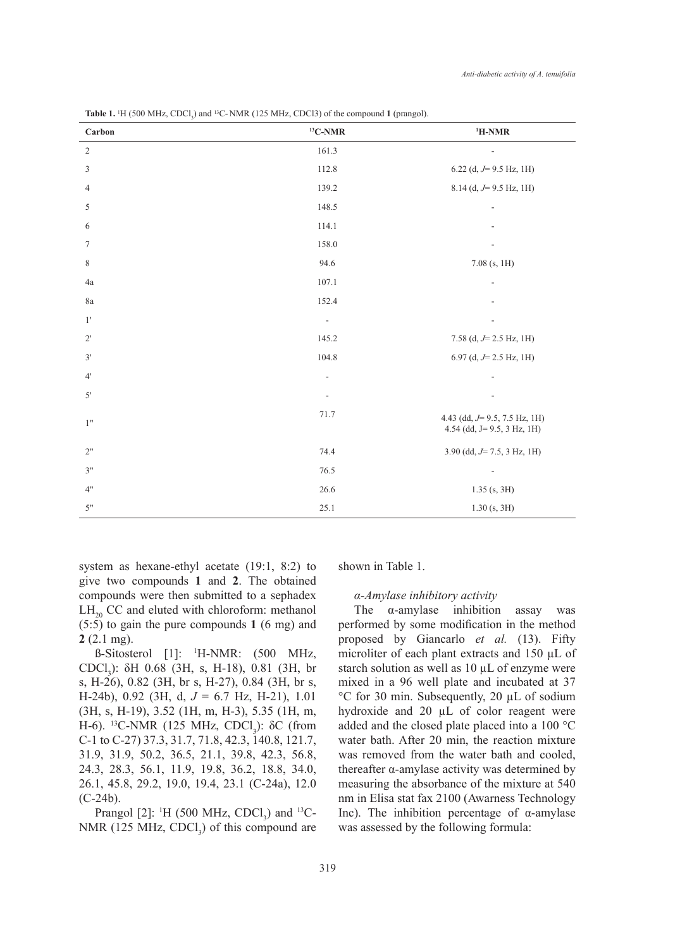| Carbon           | ${}^{13}C$ -NMR              | $H-NMR$                                                          |  |
|------------------|------------------------------|------------------------------------------------------------------|--|
| $\sqrt{2}$       | 161.3                        | ÷,                                                               |  |
| $\sqrt{3}$       | 112.8                        | 6.22 (d, $J=9.5$ Hz, 1H)                                         |  |
| $\overline{4}$   | 139.2                        | $8.14$ (d, $J=9.5$ Hz, 1H)                                       |  |
| $\sqrt{5}$       | 148.5                        |                                                                  |  |
| 6                | 114.1                        |                                                                  |  |
| $\boldsymbol{7}$ | 158.0                        |                                                                  |  |
| $\,$ $\,$        | 94.6                         | $7.08$ (s, 1H)                                                   |  |
| 4a               | 107.1                        |                                                                  |  |
| $8\mathrm{a}$    | 152.4                        |                                                                  |  |
| $1^{\prime}$     | $\overline{\phantom{a}}$     |                                                                  |  |
| $2^{\prime}$     | 145.2                        | 7.58 (d, $J=2.5$ Hz, 1H)                                         |  |
| $3'$             | 104.8                        | 6.97 (d, $J=2.5$ Hz, 1H)                                         |  |
| $4^{\circ}$      | $\qquad \qquad \blacksquare$ |                                                                  |  |
| $5'$             |                              |                                                                  |  |
| $1"$             | 71.7                         | 4.43 (dd, $J=$ 9.5, 7.5 Hz, 1H)<br>4.54 (dd, $J=9.5$ , 3 Hz, 1H) |  |
| $2"$             | 74.4                         | 3.90 (dd, $J=7.5$ , 3 Hz, 1H)                                    |  |
| 3"               | 76.5                         | $\overline{\phantom{a}}$                                         |  |
| 4"               | 26.6                         | $1.35$ (s, 3H)                                                   |  |
| 5"               | 25.1                         | $1.30$ (s, 3H)                                                   |  |

**Table 1.**  $H$  (500 MHz, CDCl<sub>3</sub>) and <sup>13</sup>C-NMR (125 MHz, CDCl3) of the compound **1** (prangol).

system as hexane-ethyl acetate (19:1, 8:2) to give two compounds **1** and **2**. The obtained compounds were then submitted to a sephadex  $LH_{20}$  CC and eluted with chloroform: methanol (5:5) to gain the pure compounds **1** (6 mg) and **2** (2.1 mg).

 $\beta$ -Sitosterol [1]: <sup>1</sup>H-NMR: (500 MHz, CDCl<sub>3</sub>): δH 0.68 (3H, s, H-18), 0.81 (3H, br s, H-26), 0.82 (3H, br s, H-27), 0.84 (3H, br s, H-24b), 0.92 (3H, d, *J* = 6.7 Hz, H-21), 1.01 (3H, s, H-19), 3.52 (1H, m, H-3), 5.35 (1H, m, H-6). <sup>13</sup>C-NMR (125 MHz, CDCl<sub>3</sub>): δC (from C-1 to C-27) 37.3, 31.7, 71.8, 42.3, 140.8, 121.7, 31.9, 31.9, 50.2, 36.5, 21.1, 39.8, 42.3, 56.8, 24.3, 28.3, 56.1, 11.9, 19.8, 36.2, 18.8, 34.0, 26.1, 45.8, 29.2, 19.0, 19.4, 23.1 (C-24a), 12.0 (C-24b).

Prangol [2]: <sup>1</sup>H (500 MHz, CDCl<sub>3</sub>) and <sup>13</sup>C-NMR (125 MHz,  $CDCl<sub>3</sub>$ ) of this compound are shown in Table 1.

## *α-Amylase inhibitory activity*

The  $\alpha$ -amylase inhibition assay was performed by some modification in the method proposed by Giancarlo *et al.* (13). Fifty microliter of each plant extracts and 150 µL of starch solution as well as  $10 \mu L$  of enzyme were mixed in a 96 well plate and incubated at 37 °C for 30 min. Subsequently, 20 µL of sodium hydroxide and 20  $\mu$ L of color reagent were added and the closed plate placed into a 100 °C water bath. After 20 min, the reaction mixture was removed from the water bath and cooled, thereafter α-amylase activity was determined by measuring the absorbance of the mixture at 540 nm in Elisa stat fax 2100 (Awarness Technology Inc). The inhibition percentage of  $α$ -amylase was assessed by the following formula: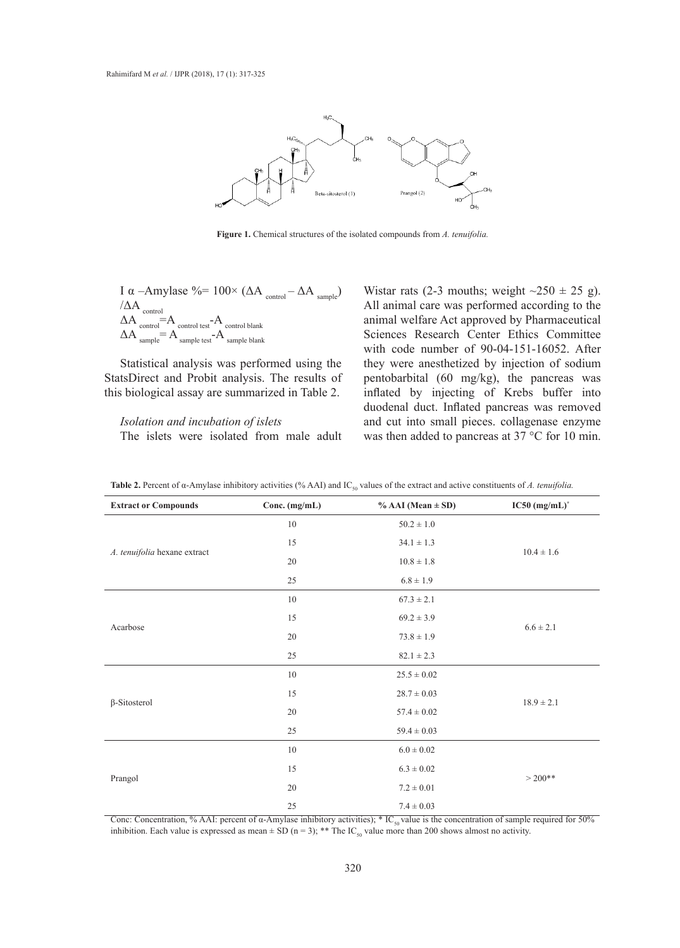

**Figure 1.** Chemical structures of the isolated compounds from *A. tenuifolia.*

I α –Amylase %=  $100 \times (\Delta A_{\text{control}} - \Delta A_{\text{sample}})$ /ΔA control  $\Delta A$  control  $=A$  control test<sup>-A</sup> control blank  $\Delta A$  sample  $=A$  sample test- $A$  sample blank

Statistical analysis was performed using the StatsDirect and Probit analysis. The results of this biological assay are summarized in Table 2.

#### *Isolation and incubation of islets* The islets were isolated from male adult concentration of the compounds bonded (23). According to the control and the control and the control and the control and the control and the control and the control and the control and the control and the control and the c

Wistar rats (2-3 mouths; weight  $\sim$ 250  $\pm$  25 g). All animal care was performed according to the animal welfare Act approved by Pharmaceutical A control blank<br>  $A_{\text{sample blank}}$  Sciences Research Center Ethics Committee with code number of 90-04-151-16052. After was performed using the they were anesthetized by injection of sodium pentobarbital (60 mg/kg), the pancreas was Find the summarized in Table 2. inflated by injecting of Krebs buffer into duodenal duct. Inflated pancreas was removed pation of islets and cut into small pieces. collagenase enzyme was then added to pancreas at 37 °C for 10 min.

|                              |               | $\sim$ 50<br>         |                  |
|------------------------------|---------------|-----------------------|------------------|
| <b>Extract or Compounds</b>  | Conc. (mg/mL) | $% AAI (Mean \pm SD)$ | $IC50 (mg/mL)^*$ |
| A. tenuifolia hexane extract | $10\,$        | $50.2\pm1.0$          | $10.4 \pm 1.6$   |
|                              | 15            | $34.1 \pm 1.3$        |                  |
|                              | $20\,$        | $10.8\pm1.8$          |                  |
|                              | 25            | $6.8 \pm 1.9$         |                  |
| Acarbose                     | $10\,$        | $67.3 \pm 2.1$        | $6.6 \pm 2.1$    |
|                              | 15            | $69.2 \pm 3.9$        |                  |
|                              | $20\,$        | $73.8 \pm 1.9$        |                  |
|                              | 25            | $82.1\pm2.3$          |                  |
| $\beta$ -Sitosterol          | $10\,$        | $25.5\pm0.02$         | $18.9\pm2.1$     |
|                              | 15            | $28.7 \pm 0.03$       |                  |
|                              | $20\,$        | $57.4\pm0.02$         |                  |
|                              | 25            | $59.4 \pm 0.03$       |                  |
| Prangol                      | $10\,$        | $6.0 \pm 0.02$        | $> 200**$        |
|                              | 15            | $6.3\pm0.02$          |                  |
|                              | $20\,$        | $7.2\pm0.01$          |                  |
|                              | 25            | $7.4\pm0.03$          |                  |

**Table 2.** Percent of  $\alpha$ -Amylase inhibitory activities (% AAI) and IC<sub>50</sub> values of the extract and active constituents of *A. tenuifolia.* 

Conc: Concentration, % AAI: percent of  $\alpha$ -Amylase inhibitory activities); \* IC<sub>50</sub> value is the concentration of sample required for 50% inhibition. Each value is expressed as mean  $\pm$  SD (n = 3); \*\* The IC<sub>50</sub> value more than 200 shows almost no activity.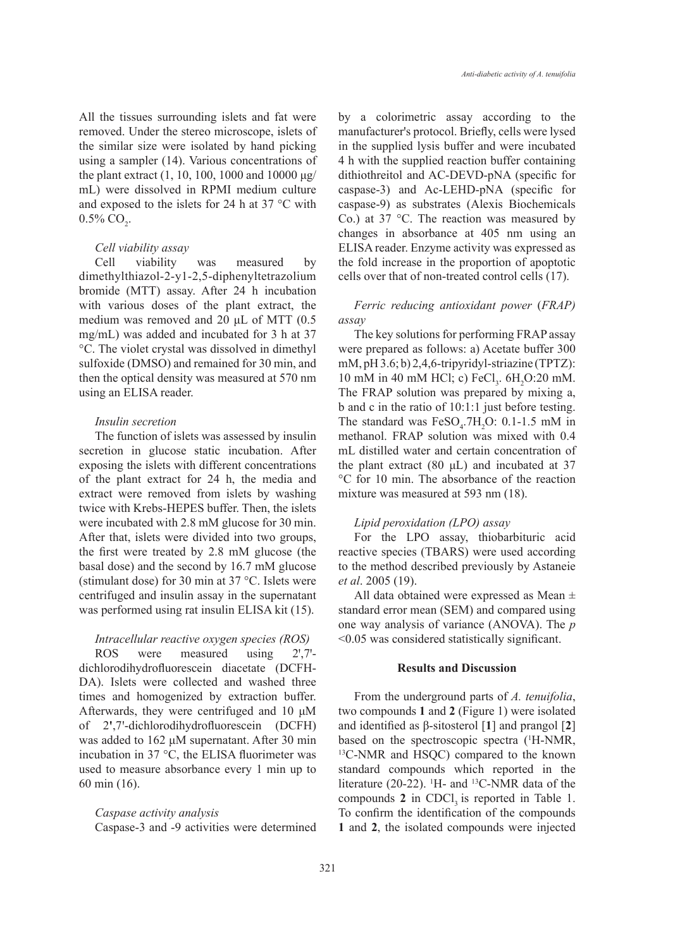All the tissues surrounding islets and fat were removed. Under the stereo microscope, islets of the similar size were isolated by hand picking using a sampler (14). Various concentrations of the plant extract  $(1, 10, 100, 1000$  and  $10000 \mu$ g/ mL) were dissolved in RPMI medium culture and exposed to the islets for 24 h at 37 °C with  $0.5\%$  CO<sub>2</sub>.

#### *Cell viability assay*

Cell viability was measured by dimethylthiazol-2-y1-2,5-diphenyltetrazolium bromide (MTT) assay. After 24 h incubation with various doses of the plant extract, the medium was removed and 20 μL of MTT (0.5 mg/mL) was added and incubated for 3 h at 37 °C. The violet crystal was dissolved in dimethyl sulfoxide (DMSO) and remained for 30 min, and then the optical density was measured at 570 nm using an ELISA reader.

# *Insulin secretion*

The function of islets was assessed by insulin secretion in glucose static incubation. After exposing the islets with different concentrations of the plant extract for 24 h, the media and extract were removed from islets by washing twice with Krebs-HEPES buffer. Then, the islets were incubated with 2.8 mM glucose for 30 min. After that, islets were divided into two groups, the first were treated by 2.8 mM glucose (the basal dose) and the second by 16.7 mM glucose (stimulant dose) for 30 min at 37 °C. Islets were centrifuged and insulin assay in the supernatant was performed using rat insulin ELISA kit (15).

## *Intracellular reactive oxygen species (ROS)*

ROS were measured using 2',7'dichlorodihydrofluorescein diacetate (DCFH-DA). Islets were collected and washed three times and homogenized by extraction buffer. Afterwards, they were centrifuged and 10 μM of 2**ꞌ**,7ꞌ-dichlorodihydrofluorescein (DCFH) was added to 162 μM supernatant. After 30 min incubation in 37 °C, the ELISA fluorimeter was used to measure absorbance every 1 min up to 60 min (16).

# *Caspase activity analysis*

Caspase-3 and -9 activities were determined

by a colorimetric assay according to the manufacturer's protocol. Briefly, cells were lysed in the supplied lysis buffer and were incubated 4 h with the supplied reaction buffer containing dithiothreitol and AC-DEVD-pNA (specific for caspase-3) and Ac-LEHD-pNA (specific for caspase-9) as substrates (Alexis Biochemicals Co.) at 37 °C. The reaction was measured by changes in absorbance at 405 nm using an ELISA reader. Enzyme activity was expressed as the fold increase in the proportion of apoptotic cells over that of non-treated control cells (17).

# *Ferric reducing antioxidant power* (*FRAP) assay*

The key solutions for performing FRAP assay were prepared as follows: a) Acetate buffer 300 mM, pH 3.6; b) 2,4,6-tripyridyl-striazine (TPTZ): 10 mM in 40 mM HCl; c)  $\text{FeCl}_3$ .  $6\text{H}_2\text{O}$ :20 mM. The FRAP solution was prepared by mixing a, b and c in the ratio of 10:1:1 just before testing. The standard was  $FeSO<sub>4</sub>$ .7H<sub>2</sub>O: 0.1-1.5 mM in methanol. FRAP solution was mixed with 0.4 mL distilled water and certain concentration of the plant extract (80  $\mu$ L) and incubated at 37 °C for 10 min. The absorbance of the reaction mixture was measured at 593 nm (18).

## *Lipid peroxidation (LPO) assay*

For the LPO assay, thiobarbituric acid reactive species (TBARS) were used according to the method described previously by Astaneie *et al*. 2005 (19).

All data obtained were expressed as Mean ± standard error mean (SEM) and compared using one way analysis of variance (ANOVA). The *p*  <0.05 was considered statistically significant.

# **Results and Discussion**

From the underground parts of *A. tenuifolia*, two compounds **1** and **2** (Figure 1) were isolated and identified as β-sitosterol [**1**] and prangol [**2**] based on the spectroscopic spectra (<sup>1</sup>H-NMR, <sup>13</sup>C-NMR and HSQC) compared to the known standard compounds which reported in the literature (20-22). <sup>1</sup>H- and <sup>13</sup>C-NMR data of the compounds  $2$  in CDCl<sub>2</sub> is reported in Table 1. To confirm the identification of the compounds **1** and **2**, the isolated compounds were injected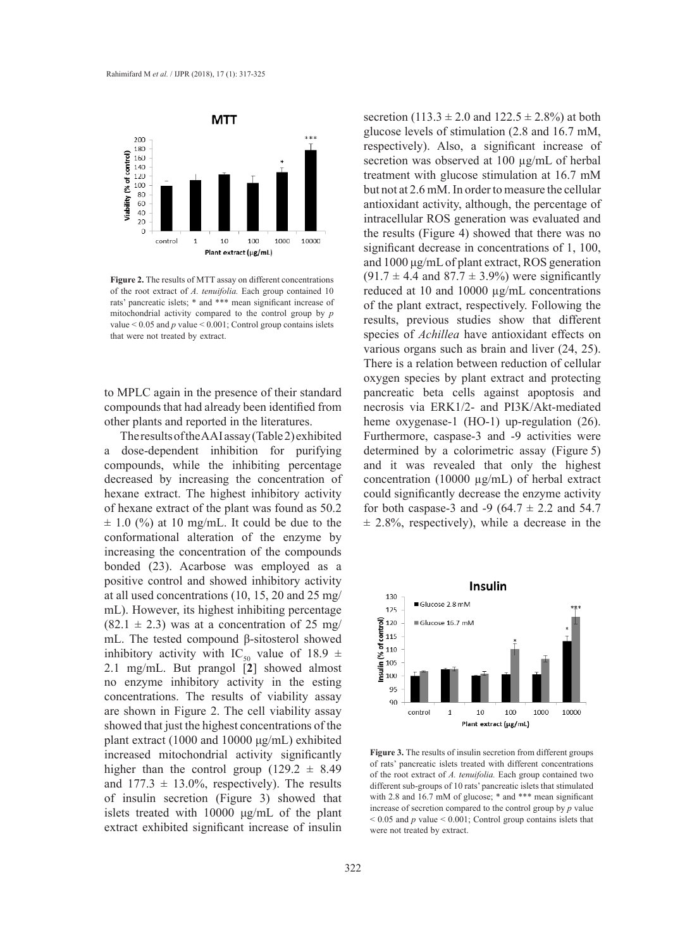

**Figure 2.** The results of MTT assay on different concentrations of the root extract of *A. tenuifolia.* Each group contained 10 **Figure 2. Figure 2. Figure 2.** *Figure 2. <b>Figure 2. Figure 2. <i>Figure 2. Figure 2. <i>Figure 2. Figure 2. <i>Figure 2. Figure* 2. *Figure* rats' pancreatic islets; \* and \*\*\* mean significant increase of **the plant extract** re mitochondrial activity compared to the control group by *p* mitochondrial activity compared to the control group by *p* value < 0.05 and *p* value < 0.001; value  $< 0.05$  and p value  $< 0.001$ ; Control group contains islets that were not treated by extract.

to MPLC again in the presence of their standard compounds that had already been identified from other plants and reported in the literatures.

The results of the AAI assay (Table 2) exhibited a dose-dependent inhibition for purifying compounds, while the inhibiting percentage decreased by increasing the concentration of hexane extract. The highest inhibitory activity of hexane extract of the plant was found as 50.2  $\pm$  1.0 (%) at 10 mg/mL. It could be due to the conformational alteration of the enzyme by increasing the concentration of the compounds bonded (23). Acarbose was employed as a positive control and showed inhibitory activity at all used concentrations (10, 15, 20 and 25 mg/ $\frac{130}{7}$ mL). However, its highest inhibiting percentage  $(82.1 \pm 2.3)$  was at a concentration of 25 mg/ mL. The tested compound β-sitosterol showed inhibitory activity with IC<sub>50</sub> value of 18.9  $\pm$ 2.1 mg/mL. But prangol [**2**] showed almost no enzyme inhibitory activity in the esting concentrations. The results of viability assay are shown in Figure 2. The cell viability assay showed that just the highest concentrations of the plant extract (1000 and 10000 μg/mL) exhibited increased mitochondrial activity significantly higher than the control group  $(129.2 \pm 8.49)$ and  $177.3 \pm 13.0\%$ , respectively). The results of insulin secretion (Figure 3) showed that islets treated with 10000 μg/mL of the plant extract exhibited significant increase of insulin an used concentrations (10, 15, 20 and 25 mg/ $\frac{130}{1}$   $\frac{1}{2}$   $\frac{6 \text{ km/s}}{2.8 \text{ m}}$ 

for both caspase-3 and -9 ( $64.7 \pm 2.2$  and  $54.7$  $\pm$  2.8%, respectively), while a decrease in the secretion (113.3  $\pm$  2.0 and 122.5  $\pm$  2.8%) at both glucose levels of stimulation (2.8 and 16.7 mM, respectively). Also, a significant increase of secretion was observed at 100 µg/mL of herbal treatment with glucose stimulation at 16.7 mM but not at 2.6 mM. In order to measure the cellular antioxidant activity, although, the percentage of intracellular ROS generation was evaluated and the results (Figure 4) showed that there was no significant decrease in concentrations of 1, 100, and 1000 μg/mL of plant extract, ROS generation  $(91.7 \pm 4.4 \text{ and } 87.7 \pm 3.9\%)$  were significantly reduced at 10 and 10000 µg/mL concentrations of the plant extract, respectively. Following the results, previous studies show that different species of *Achillea* have antioxidant effects on various organs such as brain and liver (24, 25). There is a relation between reduction of cellular oxygen species by plant extract and protecting pancreatic beta cells against apoptosis and necrosis via ERK1/2- and PI3K/Akt-mediated heme oxygenase-1 (HO-1) up-regulation (26). Furthermore, caspase-3 and -9 activities were determined by a colorimetric assay (Figure 5) and it was revealed that only the highest concentration (10000 µg/mL) of herbal extract could significantly decrease the enzyme activity



of the root extract of *A. tenuifolia*. Each group contained two different sub-groups of 10 rats' pancreatic islets that stimulated with 2.8 and 16.7 mM of glucose;  $*$  and  $***$  mean significant increase of secretion compared to the control group by  $p$  value  $< 0.05$  and *p* value  $< 0.001$ ; Control group contains islets that **Figure 3.** The results of insulin secretion from different groups of rats' pancreatic islets treated with different concentrations were not treated by extract.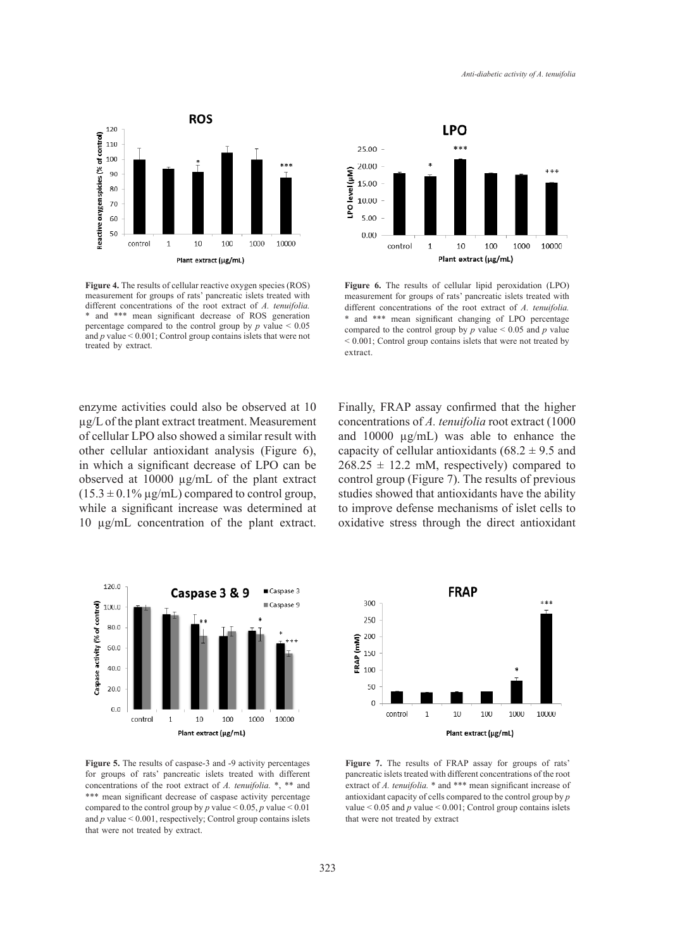

**Figure 4.** The results of cellular reactive oxygen species (ROS) **Figure 4. The results of cellular reactive oxygen species (ROS) Figure 4. The results of Algorith** measurement for groups of  $\pi$ different concentrations of the root extract of *A. tenuifolia.* different concentrations of \* and \*\*\* mean significant decrease of ROS generation  $*$  and \*\*\* mean significant percentage compared to the control group by *p* value  $\leq 0.05$  compared to the control and  $p$  value  $< 0.001$ ; Control group contains islets that were not treated by extract.



**Figure 6.** The results of cellular lipid peroxidation (LPO) measurement for groups of rats' pancreatic islets treated with different concentrations of the root extract of *A. tenuifolia.*  \* and \*\*\* mean significant changing of LPO percentage compared to the control group by  $p$  value  $\leq 0.05$  and  $p$  value  $\leq 0.001$ ; Control group contains islets that were not treated by extract.  $extract.$ 

while a significant increase was determined at to improve defense m parameter is the root in the root of the root extract or *andative* stress through 10 µg/mL concentration of the plant extract. oxidative stress thro enzyme activities could also be observed at 10 µg/L of the plant extract treatment. Measurement of cellular LPO also showed a similar result with other cellular antioxidant analysis (Figure 6), in which a significant decrease of LPO can be observed at 10000 µg/mL of the plant extract  $(15.3 \pm 0.1\% \,\text{µg/mL})$  compared to control group,



**Figure 5.** The results of caspase-3 and -9 activity percentages for groups of rats' pancreatic islets treated with different concentrations of the root extract of *A. tenuifolia.* \*, \*\* and \*\*\* mean significant decrease of caspase activity percentage compared to the control group by *p* value < 0.05, *p* value < 0.01 and  $p$  value  $< 0.001$ , respectively; Control group contains islets that were not treated by extract.

Finally, FRAP assay confirmed that the higher concentrations of *A. tenuifolia* root extract (1000 and 10000 µg/mL) was able to enhance the capacity of cellular antioxidants ( $68.2 \pm 9.5$  and  $268.25 \pm 12.2$  mM, respectively) compared to control group (Figure 7). The results of previous studies showed that antioxidants have the ability to improve defense mechanisms of islet cells to oxidative stress through the direct antioxidant



**Figure 7.** The results of FRAP assay for groups of rats' pancreatic islets treated with different concentrations of the root extract of *A. tenuifolia.* \* and \*\*\* mean significant increase of antioxidant capacity of cells compared to the control group by *p* value  $< 0.05$  and  $p$  value  $< 0.001$ ; Control group contains islets that were not treated by extract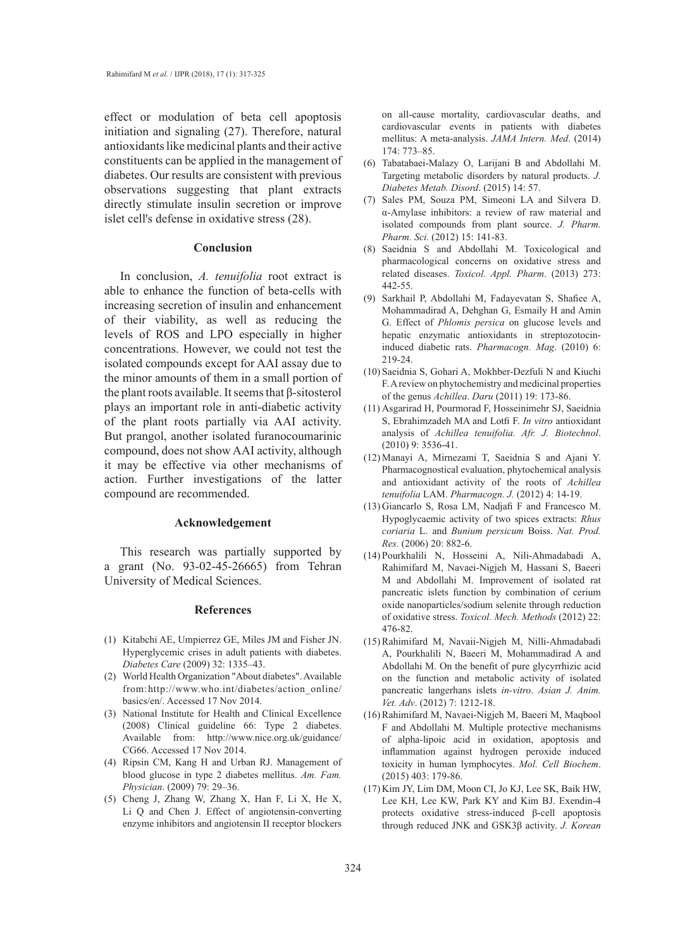effect or modulation of beta cell apoptosis initiation and signaling (27). Therefore, natural antioxidants like medicinal plants and their active constituents can be applied in the management of diabetes. Our results are consistent with previous observations suggesting that plant extracts directly stimulate insulin secretion or improve islet cell's defense in oxidative stress  $(28)$ .

# **Conclusion**

In conclusion, *A. tenuifolia* root extract is able to enhance the function of beta-cells with increasing secretion of insulin and enhancement of their viability, as well as reducing the levels of ROS and LPO especially in higher concentrations. However, we could not test the isolated compounds except for AAI assay due to the minor amounts of them in a small portion of the plant roots available. It seems that β-sitosterol plays an important role in anti-diabetic activity of the plant roots partially via AAI activity. But prangol, another isolated furanocoumarinic compound, does not show AAI activity, although it may be effective via other mechanisms of action. Further investigations of the latter compound are recommended.

## **Acknowledgement**

This research was partially supported by a grant (No. 93-02-45-26665) from Tehran University of Medical Sciences.

#### **References**

- (1) Kitabchi AE, Umpierrez GE, Miles JM and Fisher JN. Hyperglycemic crises in adult patients with diabetes. *Diabetes Care* (2009) 32: 1335–43.
- World Health Organization "About diabetes". Available (2) from:http://www.who.int/diabetes/action\_online/ basics/en/. Accessed 17 Nov 2014.
- (3) National Institute for Health and Clinical Excellence (2008) Clinical guideline 66: Type 2 diabetes. Available from: http://www.nice.org.uk/guidance/ CG66. Accessed 17 Nov 2014.
- (4) Ripsin CM, Kang H and Urban RJ. Management of blood glucose in type 2 diabetes mellitus. *Am. Fam. Physician*. (2009) 79: 29–36.
- (5) Cheng J, Zhang W, Zhang X, Han F, Li X, He X, Li Q and Chen J. Effect of angiotensin-converting enzyme inhibitors and angiotensin II receptor blockers

on all-cause mortality, cardiovascular deaths, and cardiovascular events in patients with diabetes mellitus: A meta-analysis. *JAMA Intern. Med*. (2014) 174: 773–85.

- Tabatabaei-Malazy O, Larijani B and Abdollahi M. (6) Targeting metabolic disorders by natural products. *J. Diabetes Metab. Disord*. (2015) 14: 57.
- (7) Sales PM, Souza PM, Simeoni LA and Silvera D. α-Amylase inhibitors: a review of raw material and isolated compounds from plant source. *J. Pharm. Pharm. Sci.* (2012) 15: 141-83.
- Saeidnia S and Abdollahi M. Toxicological and (8) pharmacological concerns on oxidative stress and related diseases. *Toxicol. Appl. Pharm*. (2013) 273: 442-55.
- (9) Sarkhail P, Abdollahi M, Fadayevatan S, Shafiee A, Mohammadirad A, Dehghan G, Esmaily H and Amin G. Effect of *Phlomis persica* on glucose levels and hepatic enzymatic antioxidants in streptozotocininduced diabetic rats. *Pharmacogn. Mag*. (2010) 6: 219-24.
- (10) Saeidnia S, Gohari A, Mokhber-Dezfuli N and Kiuchi F. A review on phytochemistry and medicinal properties of the genus *Achillea*. *Daru* (2011) 19: 173-86.
- (11) Asgarirad H, Pourmorad F, Hosseinimehr SJ, Saeidnia S, Ebrahimzadeh MA and Lotfi F. *In vitro* antioxidant analysis of *Achillea tenuifolia. Afr. J. Biotechnol*. (2010) 9: 3536-41.
- Manayi A, Mirnezami T, Saeidnia S and Ajani Y. (12) Pharmacognostical evaluation, phytochemical analysis and antioxidant activity of the roots of *Achillea tenuifolia* LAM. *Pharmacogn. J.* (2012) 4: 14-19.
- $(13)$  Giancarlo S, Rosa LM, Nadjafi F and Francesco M. Hypoglycaemic activity of two spices extracts: *Rhus coriaria* L. and *Bunium persicum* Boiss. *Nat. Prod. Res.* (2006) 20: 882-6.
- Pourkhalili N, Hosseini A, Nili-Ahmadabadi A, (14) Rahimifard M, Navaei-Nigjeh M, Hassani S, Baeeri M and Abdollahi M. Improvement of isolated rat pancreatic islets function by combination of cerium oxide nanoparticles/sodium selenite through reduction of oxidative stress. *Toxicol. Mech. Methods* (2012) 22: 476-82.
- (15) Rahimifard M, Navaii-Nigjeh M, Nilli-Ahmadabadi A, Pourkhalili N, Baeeri M, Mohammadirad A and Abdollahi M. On the benefit of pure glycyrrhizic acid on the function and metabolic activity of isolated pancreatic langerhans islets *in-vitro*. *Asian J. Anim. Vet. Adv*. (2012) 7: 1212-18.
- (16) Rahimifard M, Navaei-Nigjeh M, Baeeri M, Maqbool F and Abdollahi M. Multiple protective mechanisms of alpha-lipoic acid in oxidation, apoptosis and inflammation against hydrogen peroxide induced toxicity in human lymphocytes. *Mol. Cell Biochem*. (2015) 403: 179-86.
- (17) Kim JY, Lim DM, Moon CI, Jo KJ, Lee SK, Baik HW, Lee KH, Lee KW, Park KY and Kim BJ. Exendin-4 protects oxidative stress-induced β-cell apoptosis through reduced JNK and GSK3β activity. *J. Korean*